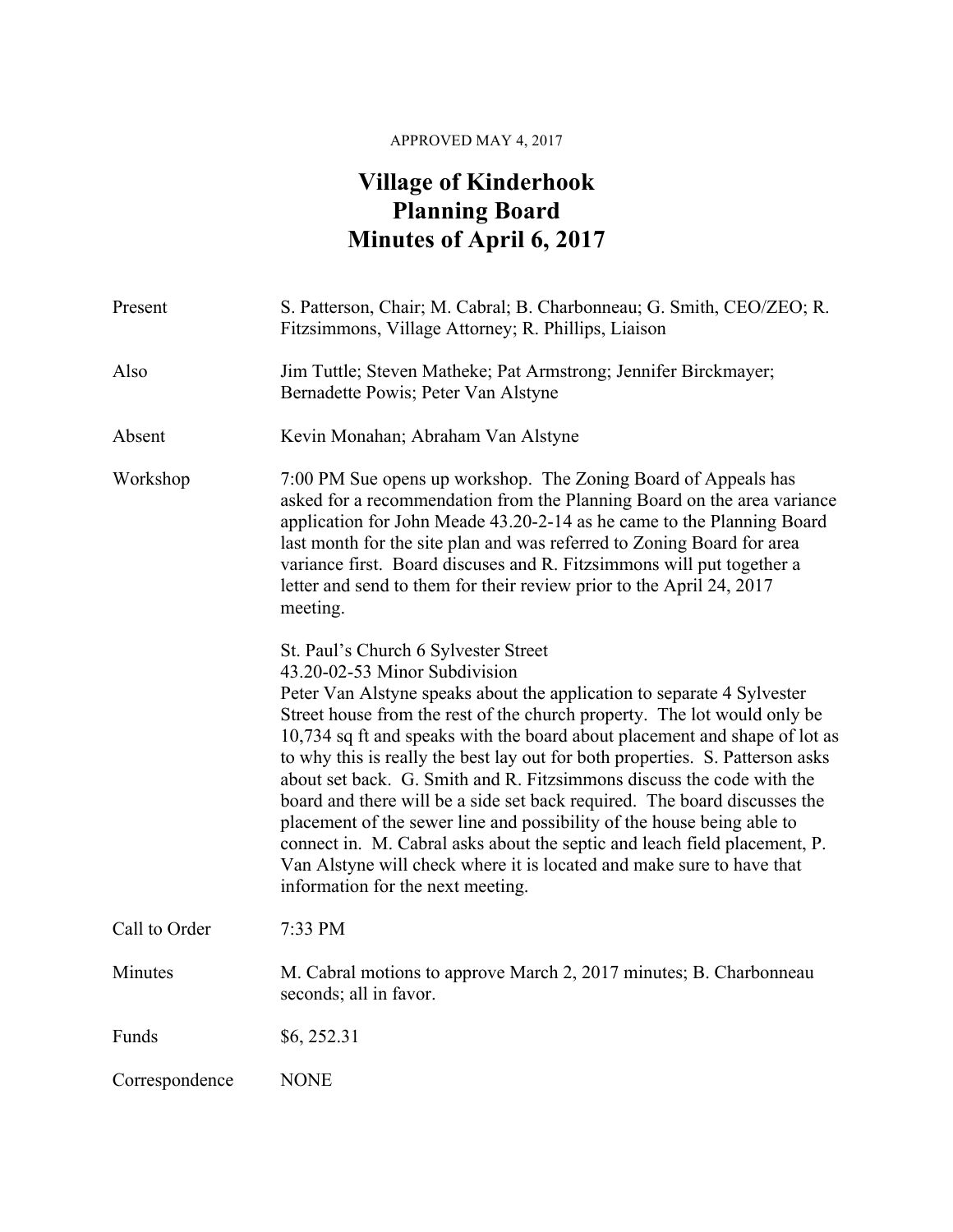## APPROVED MAY 4, 2017

## **Village of Kinderhook Planning Board Minutes of April 6, 2017**

| Present        | S. Patterson, Chair; M. Cabral; B. Charbonneau; G. Smith, CEO/ZEO; R.<br>Fitzsimmons, Village Attorney; R. Phillips, Liaison                                                                                                                                                                                                                                                                                                                                                                                                                                                                                                                                                                                                                                                                                          |
|----------------|-----------------------------------------------------------------------------------------------------------------------------------------------------------------------------------------------------------------------------------------------------------------------------------------------------------------------------------------------------------------------------------------------------------------------------------------------------------------------------------------------------------------------------------------------------------------------------------------------------------------------------------------------------------------------------------------------------------------------------------------------------------------------------------------------------------------------|
| Also           | Jim Tuttle; Steven Matheke; Pat Armstrong; Jennifer Birckmayer;<br>Bernadette Powis; Peter Van Alstyne                                                                                                                                                                                                                                                                                                                                                                                                                                                                                                                                                                                                                                                                                                                |
| Absent         | Kevin Monahan; Abraham Van Alstyne                                                                                                                                                                                                                                                                                                                                                                                                                                                                                                                                                                                                                                                                                                                                                                                    |
| Workshop       | 7:00 PM Sue opens up workshop. The Zoning Board of Appeals has<br>asked for a recommendation from the Planning Board on the area variance<br>application for John Meade 43.20-2-14 as he came to the Planning Board<br>last month for the site plan and was referred to Zoning Board for area<br>variance first. Board discuses and R. Fitzsimmons will put together a<br>letter and send to them for their review prior to the April 24, 2017<br>meeting.                                                                                                                                                                                                                                                                                                                                                            |
|                | St. Paul's Church 6 Sylvester Street<br>43.20-02-53 Minor Subdivision<br>Peter Van Alstyne speaks about the application to separate 4 Sylvester<br>Street house from the rest of the church property. The lot would only be<br>10,734 sq ft and speaks with the board about placement and shape of lot as<br>to why this is really the best lay out for both properties. S. Patterson asks<br>about set back. G. Smith and R. Fitzsimmons discuss the code with the<br>board and there will be a side set back required. The board discusses the<br>placement of the sewer line and possibility of the house being able to<br>connect in. M. Cabral asks about the septic and leach field placement, P.<br>Van Alstyne will check where it is located and make sure to have that<br>information for the next meeting. |
| Call to Order  | 7:33 PM                                                                                                                                                                                                                                                                                                                                                                                                                                                                                                                                                                                                                                                                                                                                                                                                               |
| Minutes        | M. Cabral motions to approve March 2, 2017 minutes; B. Charbonneau<br>seconds; all in favor.                                                                                                                                                                                                                                                                                                                                                                                                                                                                                                                                                                                                                                                                                                                          |
| Funds          | \$6,252.31                                                                                                                                                                                                                                                                                                                                                                                                                                                                                                                                                                                                                                                                                                                                                                                                            |
| Correspondence | <b>NONE</b>                                                                                                                                                                                                                                                                                                                                                                                                                                                                                                                                                                                                                                                                                                                                                                                                           |